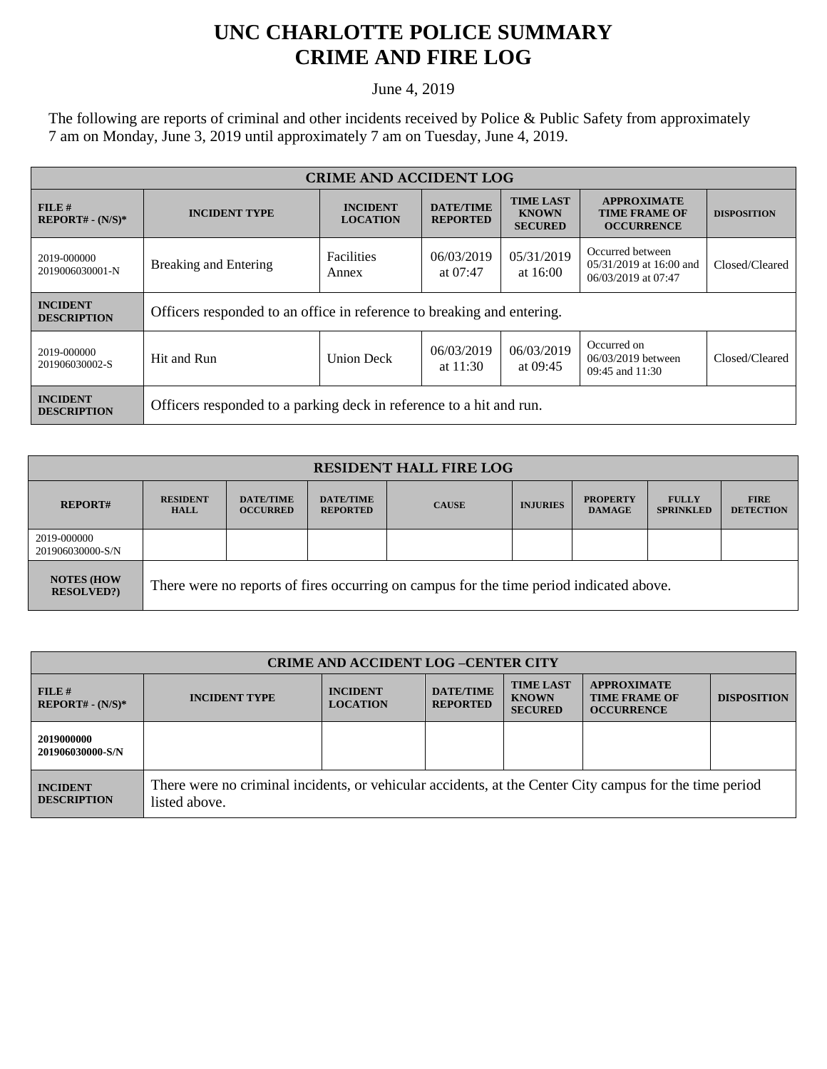## **UNC CHARLOTTE POLICE SUMMARY CRIME AND FIRE LOG**

June 4, 2019

The following are reports of criminal and other incidents received by Police & Public Safety from approximately 7 am on Monday, June 3, 2019 until approximately 7 am on Tuesday, June 4, 2019.

| <b>CRIME AND ACCIDENT LOG</b>         |                                                                        |                                    |                                     |                                                    |                                                                    |                    |  |
|---------------------------------------|------------------------------------------------------------------------|------------------------------------|-------------------------------------|----------------------------------------------------|--------------------------------------------------------------------|--------------------|--|
| $FILE$ #<br>$REPORT# - (N/S)*$        | <b>INCIDENT TYPE</b>                                                   | <b>INCIDENT</b><br><b>LOCATION</b> | <b>DATE/TIME</b><br><b>REPORTED</b> | <b>TIME LAST</b><br><b>KNOWN</b><br><b>SECURED</b> | <b>APPROXIMATE</b><br><b>TIME FRAME OF</b><br><b>OCCURRENCE</b>    | <b>DISPOSITION</b> |  |
| 2019-000000<br>2019006030001-N        | <b>Breaking and Entering</b>                                           | <b>Facilities</b><br>Annex         | 06/03/2019<br>at $07:47$            | 05/31/2019<br>at $16:00$                           | Occurred between<br>05/31/2019 at 16:00 and<br>06/03/2019 at 07:47 | Closed/Cleared     |  |
| <b>INCIDENT</b><br><b>DESCRIPTION</b> | Officers responded to an office in reference to breaking and entering. |                                    |                                     |                                                    |                                                                    |                    |  |
| 2019-000000<br>201906030002-S         | Hit and Run                                                            | <b>Union Deck</b>                  | 06/03/2019<br>at $11:30$            | 06/03/2019<br>at 09:45                             | Occurred on<br>06/03/2019 between<br>09:45 and 11:30               | Closed/Cleared     |  |
| <b>INCIDENT</b><br><b>DESCRIPTION</b> | Officers responded to a parking deck in reference to a hit and run.    |                                    |                                     |                                                    |                                                                    |                    |  |

| <b>RESIDENT HALL FIRE LOG</b>         |                                                                                         |                                     |                                     |              |                 |                                  |                                  |                                 |
|---------------------------------------|-----------------------------------------------------------------------------------------|-------------------------------------|-------------------------------------|--------------|-----------------|----------------------------------|----------------------------------|---------------------------------|
| <b>REPORT#</b>                        | <b>RESIDENT</b><br><b>HALL</b>                                                          | <b>DATE/TIME</b><br><b>OCCURRED</b> | <b>DATE/TIME</b><br><b>REPORTED</b> | <b>CAUSE</b> | <b>INJURIES</b> | <b>PROPERTY</b><br><b>DAMAGE</b> | <b>FULLY</b><br><b>SPRINKLED</b> | <b>FIRE</b><br><b>DETECTION</b> |
| 2019-000000<br>201906030000-S/N       |                                                                                         |                                     |                                     |              |                 |                                  |                                  |                                 |
| <b>NOTES (HOW</b><br><b>RESOLVED?</b> | There were no reports of fires occurring on campus for the time period indicated above. |                                     |                                     |              |                 |                                  |                                  |                                 |

| <b>CRIME AND ACCIDENT LOG-CENTER CITY</b> |                                                                                                                          |                                    |                                     |                                                    |                                                                 |                    |
|-------------------------------------------|--------------------------------------------------------------------------------------------------------------------------|------------------------------------|-------------------------------------|----------------------------------------------------|-----------------------------------------------------------------|--------------------|
| FILE#<br>$REPORT# - (N/S)*$               | <b>INCIDENT TYPE</b>                                                                                                     | <b>INCIDENT</b><br><b>LOCATION</b> | <b>DATE/TIME</b><br><b>REPORTED</b> | <b>TIME LAST</b><br><b>KNOWN</b><br><b>SECURED</b> | <b>APPROXIMATE</b><br><b>TIME FRAME OF</b><br><b>OCCURRENCE</b> | <b>DISPOSITION</b> |
| 2019000000<br>201906030000-S/N            |                                                                                                                          |                                    |                                     |                                                    |                                                                 |                    |
| <b>INCIDENT</b><br><b>DESCRIPTION</b>     | There were no criminal incidents, or vehicular accidents, at the Center City campus for the time period<br>listed above. |                                    |                                     |                                                    |                                                                 |                    |